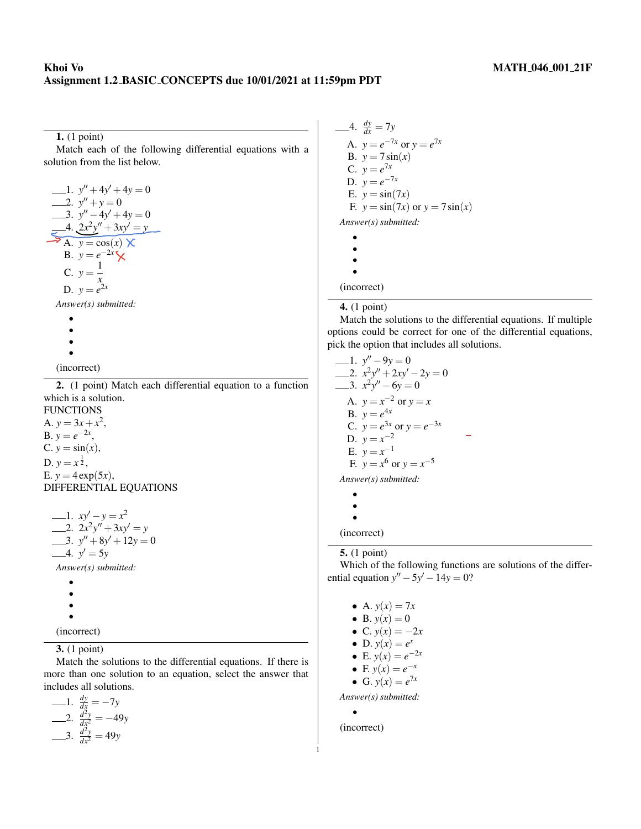## Khoi Vo MATH 046 001 21F Assignment 1.2 BASIC CONCEPTS due 10/01/2021 at 11:59pm PDT

1. (1 point)

Match each of the following differential equations with a solution from the list below.

$$
y'' + 4y' + 4y = 0
$$
  
\n
$$
y'' + y = 0
$$
  
\n
$$
y'' - 4y' + 4y = 0
$$
  
\n
$$
y'' - 4y' + 4y = 0
$$
  
\n
$$
y = 4
$$
  
\n
$$
x^2y'' + 3xy' = y
$$
  
\n
$$
x = 0
$$
  
\n
$$
x = e^{-2x}
$$
  
\n
$$
y = e^{-2x}
$$
  
\n
$$
y = e^{2x}
$$
  
\nAnswer(s) submitted:

$$
\begin{array}{c}\bullet \\
\bullet \\
\bullet\n\end{array}
$$

•

•

(incorrect)

2. (1 point) Match each differential equation to a function which is a solution.

**FUNCTIONS** A.  $y = 3x + x^2$ , B.  $y = e^{-2x}$ , C.  $y = \sin(x)$ , D.  $y = x^{\frac{1}{2}}$ , E.  $y = 4 \exp(5x)$ , DIFFERENTIAL EQUATIONS

```
1. xy' - y = x^22. 2x^2y'' + 3xy' = y3. y'' + 8y' + 12y = 04. y' = 5yAnswer(s) submitted:
   •
   •
   •
```
•

(incorrect)

#### 3. (1 point)

Match the solutions to the differential equations. If there is more than one solution to an equation, select the answer that includes all solutions.

$$
\begin{array}{rcl}\n-1. & \frac{dy}{dx} &=& -7y \\
2. & \frac{d^2y}{dx^2} &=& -49y \\
3. & \frac{d^2y}{dx^2} &=& 49y\n\end{array}
$$

4.  $\frac{dy}{dx} = 7y$ A.  $y = e^{-7x}$  or  $y = e^{7x}$ B.  $y = 7 \sin(x)$  $C. \, y = e^{7x}$ D.  $y = e^{-7x}$ E.  $y = \sin(7x)$ F.  $y = \sin(7x)$  or  $y = 7\sin(x)$ *Answer(s) submitted:* • • • • (incorrect)

#### 4. (1 point)

Match the solutions to the differential equations. If multiple options could be correct for one of the differential equations, pick the option that includes all solutions.

1.  $y'' - 9y = 0$ 2.  $x^2y'' + 2xy' - 2y = 0$ 3.  $x^2y'' - 6y = 0$ A.  $y = x^{-2}$  or  $y = x$ B.  $y = e^{4x}$ C.  $y = e^{3x}$  or  $y = e^{-3x}$ D.  $y = x^{-2}$ E.  $y = x^{-1}$ F.  $y = x^6$  or  $y = x^{-5}$ *Answer(s) submitted:*

• • •

(incorrect)

### 5. (1 point)

Which of the following functions are solutions of the differential equation  $y'' - 5y' - 14y = 0$ ?

- A.  $y(x) = 7x$
- B.  $y(x) = 0$
- C.  $y(x) = -2x$
- D.  $y(x) = e^x$
- E.  $y(x) = e^{-2x}$
- F.  $y(x) = e^{-x}$
- G.  $y(x) = e^{7x}$

*Answer(s) submitted:*

•

1

(incorrect)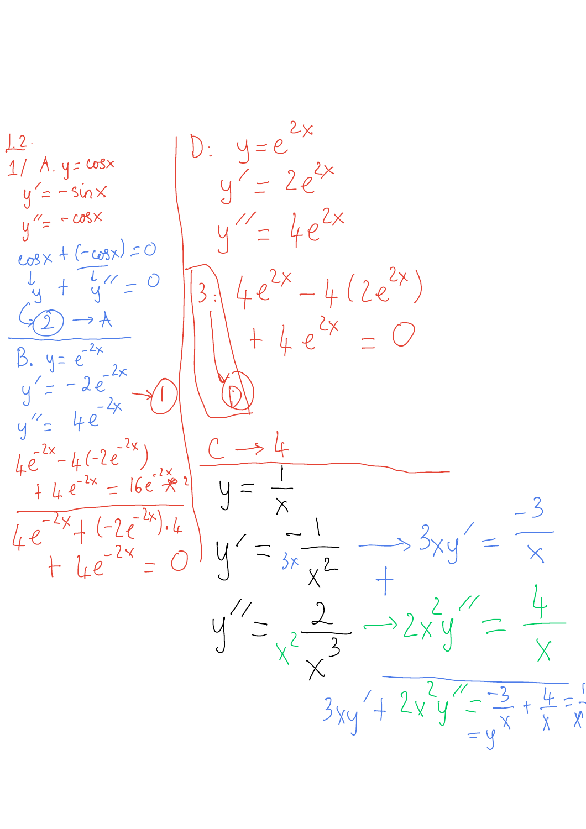$D: y=e^{2x}$  $12.$  $1/ A. y = \cos x$  $y' = 2e^{2x}$  $y' = -sin x$  $y'' = -cosx$  $U = 4e^{2x}$  $cosx + (-cosx) = 0$  $4e^{2x}-4(2e^{2x})$  $\frac{1}{y} + \frac{1}{y} =$  $\overline{O}$  $3:$  $\prec$ 2)  $\rightarrow$  A  $+4e^{2x}$ B.  $y = e^{-2x}$  $y'=-2e^{-2x}$  $y'' = 4e^{-2x}$  $4e^{-2x}-4(-2e^{-2x})$  $44e^{-2x} = 16e^{2x} \div 2$  $y = 4e^{-2x}+(-2e^{-2x})\cdot 4$  $y' = \frac{1}{3x}$  $+ 1. e^{-2x} =$  $\left(\begin{array}{c} \end{array}\right)$  $y'' = \frac{2}{x^2} \longrightarrow 2xy$  $3xy' + 2x'y' = \frac{-3}{x} + \frac{4}{x} = \frac{1}{x}$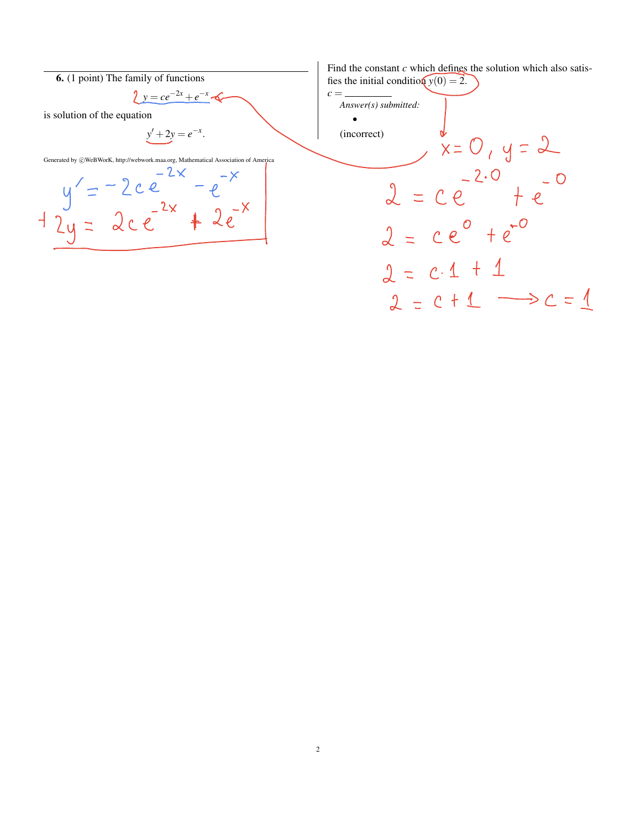

Find the constant *c* which defines the solution which also satisfies the initial condition  $y(0) = 2$ .

 $c =$ *Answer(s) submitted:* • (incorrect)  $x = 0, y = 2$  $2 = ce^{-2.0} + e^{-0}$  $2 = ce^{\circ} + e^{-\circ}$  $2 = c \cdot 1 + 1$  $2 = c + 1$   $\longrightarrow$   $c = 1$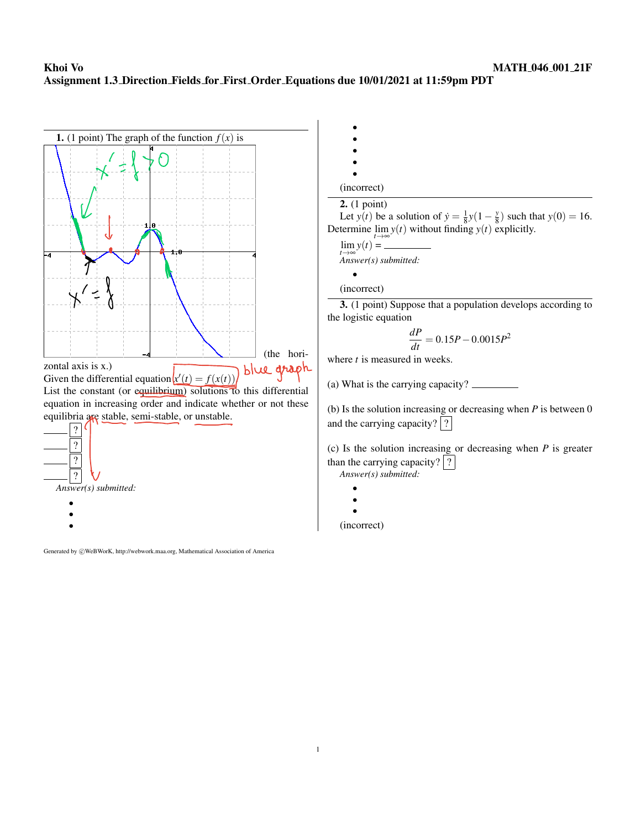# Khoi Vo MATH 046 001 21F Assignment 1.3 Direction Fields for First Order Equations due 10/01/2021 at 11:59pm PDT



Generated by  $\odot$ WeBWorK, http://webwork.maa.org, Mathematical Association of America

| (incorrect)                                                                                   |
|-----------------------------------------------------------------------------------------------|
| 2. (1 point)                                                                                  |
| Let $y(t)$ be a solution of $\dot{y} = \frac{1}{8}y(1 - \frac{y}{8})$ such that $y(0) = 16$ . |
|                                                                                               |

Determine  $\lim_{t\to\infty} y(t)$  without finding  $y(t)$  explicitly.

$$
\lim_{t \to \infty} y(t) =
$$
\n
$$
Answer(s) submitted:
$$

(incorrect)

•

3. (1 point) Suppose that a population develops according to the logistic equation

$$
\frac{dP}{dt} = 0.15P - 0.0015P^2
$$

where *t* is measured in weeks.

(a) What is the carrying capacity?

(b) Is the solution increasing or decreasing when *P* is between 0 and the carrying capacity?  $|?|$ 

(c) Is the solution increasing or decreasing when *P* is greater than the carrying capacity?  $\boxed{?}$ *Answer(s) submitted:*

|        | c |  |
|--------|---|--|
|        |   |  |
|        |   |  |
| ×<br>- |   |  |
|        |   |  |

|  | ×<br>۰, |
|--|---------|
|  |         |

•

(incorrect)